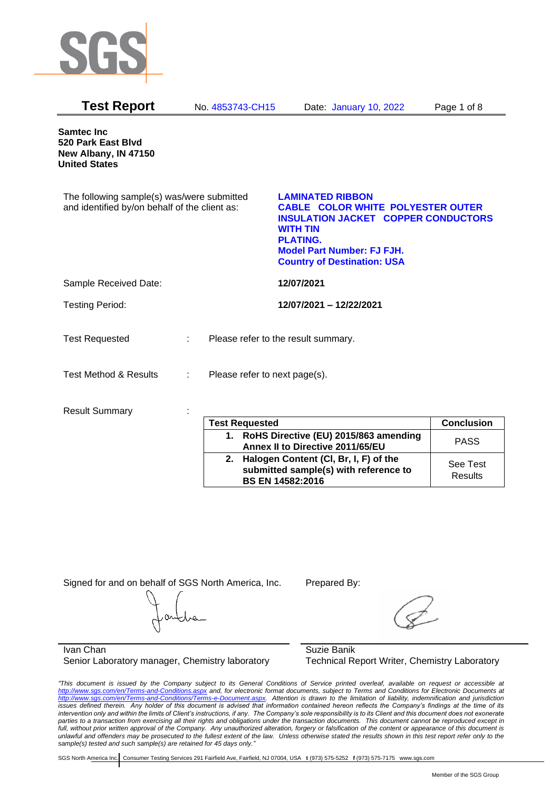

| <b>Test Report</b>                                                                          | No. 4853743-CH15              | Date: January 10, 2022                                                                                                                                                                                                             | Page 1 of 8       |
|---------------------------------------------------------------------------------------------|-------------------------------|------------------------------------------------------------------------------------------------------------------------------------------------------------------------------------------------------------------------------------|-------------------|
| <b>Samtec Inc</b><br>520 Park East Blvd<br>New Albany, IN 47150<br><b>United States</b>     |                               |                                                                                                                                                                                                                                    |                   |
| The following sample(s) was/were submitted<br>and identified by/on behalf of the client as: |                               | <b>LAMINATED RIBBON</b><br><b>CABLE COLOR WHITE POLYESTER OUTER</b><br><b>INSULATION JACKET COPPER CONDUCTORS</b><br><b>WITH TIN</b><br><b>PLATING.</b><br><b>Model Part Number: FJ FJH.</b><br><b>Country of Destination: USA</b> |                   |
| Sample Received Date:                                                                       |                               | 12/07/2021                                                                                                                                                                                                                         |                   |
| <b>Testing Period:</b>                                                                      |                               | 12/07/2021 - 12/22/2021                                                                                                                                                                                                            |                   |
| <b>Test Requested</b>                                                                       |                               | Please refer to the result summary.                                                                                                                                                                                                |                   |
| <b>Test Method &amp; Results</b>                                                            | Please refer to next page(s). |                                                                                                                                                                                                                                    |                   |
| <b>Result Summary</b>                                                                       |                               |                                                                                                                                                                                                                                    |                   |
|                                                                                             | <b>Test Requested</b>         |                                                                                                                                                                                                                                    | <b>Conclusion</b> |
|                                                                                             | 1                             | RoHS Directive (FII) 2015/863 amending                                                                                                                                                                                             |                   |

| <b>Conclusion</b><br><b>Test Requested</b>                                                                      |                     |
|-----------------------------------------------------------------------------------------------------------------|---------------------|
| 1. RoHS Directive (EU) 2015/863 amending<br>Annex II to Directive 2011/65/EU                                    | <b>PASS</b>         |
| Halogen Content (CI, Br, I, F) of the<br>2.<br>submitted sample(s) with reference to<br><b>BS EN 14582:2016</b> | See Test<br>Results |

Signed for and on behalf of SGS North America, Inc. Prepared By:

Ivan Chan Senior Laboratory manager, Chemistry laboratory Suzie Banik Technical Report Writer, Chemistry Laboratory

*"This document is issued by the Company subject to its General Conditions of Service printed overleaf, available on request or accessible at <http://www.sgs.com/en/Terms-and-Conditions.aspx> and, for electronic format documents, subject to Terms and Conditions for Electronic Documents at [http://www.sgs.com/en/Terms-and-Conditions/Terms-e-Document.aspx.](http://www.sgs.com/en/Terms-and-Conditions/Terms-e-Document.aspx) Attention is drawn to the limitation of liability, indemnification and jurisdiction issues defined therein. Any holder of this document is advised that information contained hereon reflects the Company's findings at the time of its intervention only and within the limits of Client's instructions, if any. The Company's sole responsibility is to its Client and this document does not exonerate parties to a transaction from exercising all their rights and obligations under the transaction documents. This document cannot be reproduced except in full, without prior written approval of the Company. Any unauthorized alteration, forgery or falsification of the content or appearance of this document is unlawful and offenders may be prosecuted to the fullest extent of the law. Unless otherwise stated the results shown in this test report refer only to the sample(s) tested and such sample(s) are retained for 45 days only."*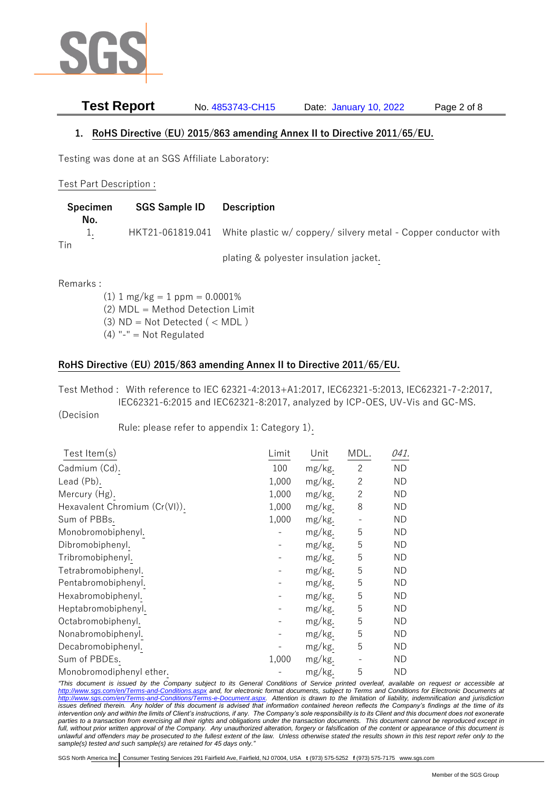

# **Test Report** No. 4853743-CH15 Date: January 10, 2022 Page 2 of 8

#### **1. RoHS Directive (EU) 2015/863 amending Annex II to Directive 2011/65/EU.**

Testing was done at an SGS Affiliate Laboratory:

#### Test Part Description :

|     | <b>Specimen</b> | <b>SGS Sample ID</b> | <b>Description</b>                                                               |
|-----|-----------------|----------------------|----------------------------------------------------------------------------------|
| Tin | No.<br>ı.       |                      | HKT21-061819.041 White plastic w/ coppery/ silvery metal - Copper conductor with |
|     |                 |                      | plating & polyester insulation jacket.                                           |

Remarks :

 $(1)$  1 mg/kg = 1 ppm = 0.0001% (2) MDL = Method Detection Limit  $(3)$  ND = Not Detected  $($  < MDL)  $(4)$  "-" = Not Regulated

### **RoHS Directive (EU) 2015/863 amending Annex II to Directive 2011/65/EU.**

Test Method : With reference to IEC 62321-4:2013+A1:2017, IEC62321-5:2013, IEC62321-7-2:2017, IEC62321-6:2015 and IEC62321-8:2017, analyzed by ICP-OES, UV-Vis and GC-MS.

#### (Decision

Rule: please refer to appendix 1: Category 1).

| Test Item $(s)$               | Limit | Unit   | MDL.              | 041.      |
|-------------------------------|-------|--------|-------------------|-----------|
| Cadmium (Cd).                 | 100   | mg/kg. | 2                 | ND.       |
| Lead (Pb).                    | 1,000 | mg/kg. | 2                 | <b>ND</b> |
| Mercury (Hg).                 | 1,000 | mg/kg. | $\overline{2}$    | ND        |
| Hexavalent Chromium (Cr(VI)). | 1,000 | mg/kg. | 8                 | ND        |
| Sum of PBBs.                  | 1,000 | mg/kg. | $\qquad \qquad -$ | ND        |
| Monobromobiphenyl.            |       | mg/kg. | 5                 | ND        |
| Dibromobiphenyl.              |       | mg/kg. | 5                 | ND        |
| Tribromobiphenyl.             |       | mg/kg. | 5                 | <b>ND</b> |
| Tetrabromobiphenyl.           |       | mg/kg. | 5                 | ND        |
| Pentabromobiphenyl.           |       | mg/kg. | 5                 | <b>ND</b> |
| Hexabromobiphenyl.            |       | mg/kg. | 5                 | <b>ND</b> |
| Heptabromobiphenyl.           |       | mg/kg. | 5                 | ND        |
| Octabromobiphenyl.            |       | mg/kg. | 5                 | <b>ND</b> |
| Nonabromobiphenyl.            |       | mg/kg. | 5                 | ND        |
| Decabromobiphenyl.            |       | mg/kg. | 5                 | ND        |
| Sum of PBDEs.                 | 1,000 | mg/kg. |                   | ND        |
| Monobromodiphenyl ether.      |       | mg/kg. | 5                 | <b>ND</b> |

*"This document is issued by the Company subject to its General Conditions of Service printed overleaf, available on request or accessible at <http://www.sgs.com/en/Terms-and-Conditions.aspx> and, for electronic format documents, subject to Terms and Conditions for Electronic Documents at [http://www.sgs.com/en/Terms-and-Conditions/Terms-e-Document.aspx.](http://www.sgs.com/en/Terms-and-Conditions/Terms-e-Document.aspx) Attention is drawn to the limitation of liability, indemnification and jurisdiction issues defined therein. Any holder of this document is advised that information contained hereon reflects the Company's findings at the time of its intervention only and within the limits of Client's instructions, if any. The Company's sole responsibility is to its Client and this document does not exonerate parties to a transaction from exercising all their rights and obligations under the transaction documents. This document cannot be reproduced except in full, without prior written approval of the Company. Any unauthorized alteration, forgery or falsification of the content or appearance of this document is unlawful and offenders may be prosecuted to the fullest extent of the law. Unless otherwise stated the results shown in this test report refer only to the sample(s) tested and such sample(s) are retained for 45 days only."*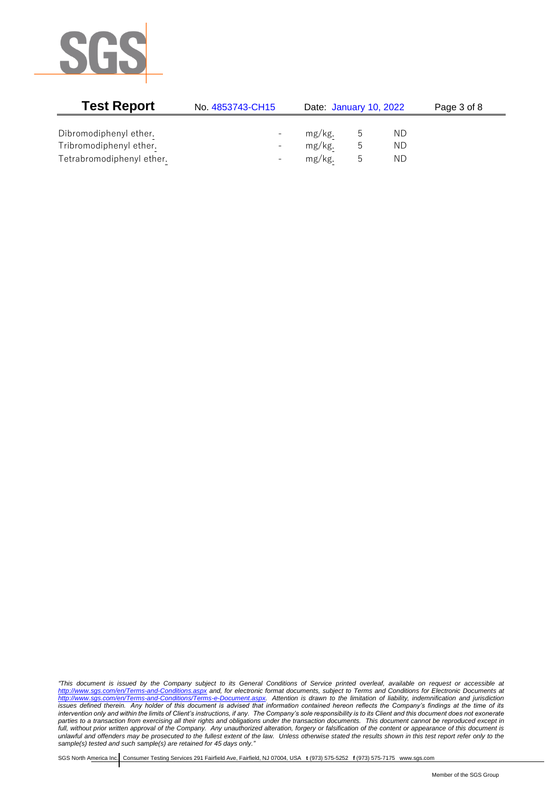

| <b>Test Report</b>        | No. 4853743-CH15         | Date: January 10, 2022 |   |     | Page 3 of 8 |
|---------------------------|--------------------------|------------------------|---|-----|-------------|
|                           |                          |                        |   |     |             |
| Dibromodiphenyl ether.    |                          | mg/kg.                 | b | ND. |             |
| Tribromodiphenyl ether.   | $\overline{\phantom{0}}$ | mg/kg.                 | ს | ND  |             |
| Tetrabromodiphenyl ether. | $\overline{\phantom{0}}$ | mg/kg.                 | b | ND. |             |

*"This document is issued by the Company subject to its General Conditions of Service printed overleaf, available on request or accessible at <http://www.sgs.com/en/Terms-and-Conditions.aspx> and, for electronic format documents, subject to Terms and Conditions for Electronic Documents at [http://www.sgs.com/en/Terms-and-Conditions/Terms-e-Document.aspx.](http://www.sgs.com/en/Terms-and-Conditions/Terms-e-Document.aspx) Attention is drawn to the limitation of liability, indemnification and jurisdiction issues defined therein. Any holder of this document is advised that information contained hereon reflects the Company's findings at the time of its intervention only and within the limits of Client's instructions, if any. The Company's sole responsibility is to its Client and this document does not exonerate parties to a transaction from exercising all their rights and obligations under the transaction documents. This document cannot be reproduced except in full, without prior written approval of the Company. Any unauthorized alteration, forgery or falsification of the content or appearance of this document is unlawful and offenders may be prosecuted to the fullest extent of the law. Unless otherwise stated the results shown in this test report refer only to the sample(s) tested and such sample(s) are retained for 45 days only."*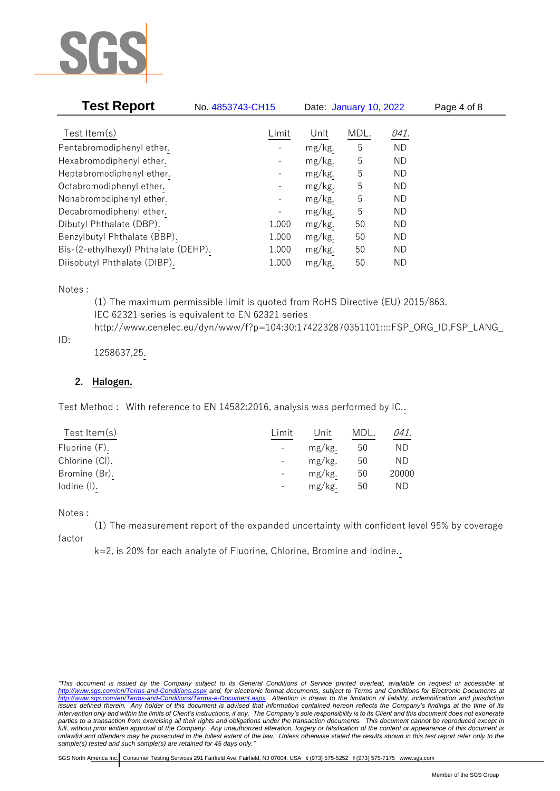

| <b>Test Report</b>                   | No. 4853743-CH15 |                          |        | Date: January 10, 2022 |           | Page 4 of 8 |
|--------------------------------------|------------------|--------------------------|--------|------------------------|-----------|-------------|
|                                      |                  |                          |        |                        |           |             |
| Test Item $(s)$                      |                  | Limit                    | Unit   | MDL.                   | 041.      |             |
| Pentabromodiphenyl ether.            |                  |                          | mg/kg. | 5                      | <b>ND</b> |             |
| Hexabromodiphenyl ether.             |                  |                          | mg/kg. | 5                      | ND        |             |
| Heptabromodiphenyl ether.            |                  |                          | mg/kg. | 5                      | ND        |             |
| Octabromodiphenyl ether.             |                  |                          | mg/kg. | 5                      | <b>ND</b> |             |
| Nonabromodiphenyl ether.             |                  | $\overline{\phantom{a}}$ | mg/kg. | 5                      | <b>ND</b> |             |
| Decabromodiphenyl ether.             |                  |                          | mg/kg. | 5                      | <b>ND</b> |             |
| Dibutyl Phthalate (DBP).             |                  | 1,000                    | mg/kg. | 50                     | ND        |             |
| Benzylbutyl Phthalate (BBP).         |                  | 1,000                    | mg/kg. | 50                     | ND        |             |
| Bis-(2-ethylhexyl) Phthalate (DEHP). |                  | 1,000                    | mg/kg. | 50                     | ND        |             |
| Diisobutyl Phthalate (DIBP).         |                  | 1,000                    | mg/kg. | 50                     | <b>ND</b> |             |

Notes :

(1) The maximum permissible limit is quoted from RoHS Directive (EU) 2015/863. IEC 62321 series is equivalent to EN 62321 series http://www.cenelec.eu/dyn/www/f?p=104:30:1742232870351101::::FSP\_ORG\_ID,FSP\_LANG\_

### ID:

1258637,25.

### **2. Halogen.**

Test Method : With reference to EN 14582:2016, analysis was performed by IC..

| Test Item $(s)$ | Limit | Unit   | MDL. | 041.  |
|-----------------|-------|--------|------|-------|
| Fluorine (F).   |       | mg/kg. | 50   | ΝD    |
| Chlorine (CI).  |       | mg/kg. | 50   | ND    |
| Bromine (Br).   |       | mg/kg. | 50   | 20000 |
| lodine (I).     |       | mg/kg. | 50   | ND.   |
|                 |       |        |      |       |

#### Notes :

(1) The measurement report of the expanded uncertainty with confident level 95% by coverage

factor

k=2, is 20% for each analyte of Fluorine, Chlorine, Bromine and Iodine..

*<sup>&</sup>quot;This document is issued by the Company subject to its General Conditions of Service printed overleaf, available on request or accessible at <http://www.sgs.com/en/Terms-and-Conditions.aspx> and, for electronic format documents, subject to Terms and Conditions for Electronic Documents at [http://www.sgs.com/en/Terms-and-Conditions/Terms-e-Document.aspx.](http://www.sgs.com/en/Terms-and-Conditions/Terms-e-Document.aspx) Attention is drawn to the limitation of liability, indemnification and jurisdiction issues defined therein. Any holder of this document is advised that information contained hereon reflects the Company's findings at the time of its intervention only and within the limits of Client's instructions, if any. The Company's sole responsibility is to its Client and this document does not exonerate parties to a transaction from exercising all their rights and obligations under the transaction documents. This document cannot be reproduced except in full, without prior written approval of the Company. Any unauthorized alteration, forgery or falsification of the content or appearance of this document is unlawful and offenders may be prosecuted to the fullest extent of the law. Unless otherwise stated the results shown in this test report refer only to the sample(s) tested and such sample(s) are retained for 45 days only."*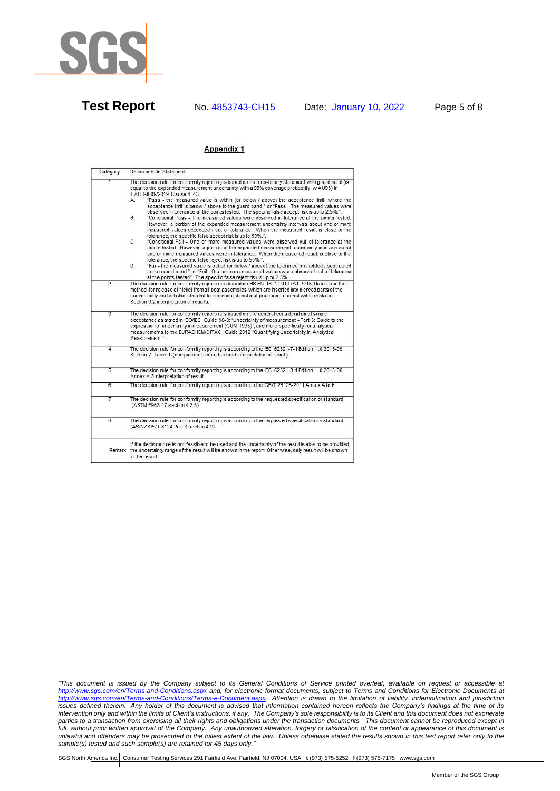

**Test Report** No. 4853743-CH15 Date: January 10, 2022 Page 5 of 8

#### Appendix 1

| Category       | Decision Rule Statement                                                                                                                                                                                                                                                                                                                                                                                                                                                                                                                                                                                                                                                                                                                                                                                                                                                                                                                                                                                                                                                                                                                                                                                                                                                                                                                                                                                                                                                                                           |
|----------------|-------------------------------------------------------------------------------------------------------------------------------------------------------------------------------------------------------------------------------------------------------------------------------------------------------------------------------------------------------------------------------------------------------------------------------------------------------------------------------------------------------------------------------------------------------------------------------------------------------------------------------------------------------------------------------------------------------------------------------------------------------------------------------------------------------------------------------------------------------------------------------------------------------------------------------------------------------------------------------------------------------------------------------------------------------------------------------------------------------------------------------------------------------------------------------------------------------------------------------------------------------------------------------------------------------------------------------------------------------------------------------------------------------------------------------------------------------------------------------------------------------------------|
| $\overline{1}$ | The decision rule for conformity reporting is based on the non-binary statement with quard band (is<br>equal to the expanded measurement uncertainty with a 95% coverage probability, w = U95) in<br>ILAC-G8:09/2019 Clause 4.2.3.<br>"Pass - the measured value is within (or below / above) the acceptance limit, where the<br>А.<br>acceptance limit is below / above to the quard band." or "Pass - The measured values were<br>observed in tolerance at the points tested. The specific false accept risk is up to 2.5%.".<br>B.<br>"Conditional Pass - The measured values were observed in tolerance at the points tested.<br>However, a portion of the expanded measurement uncertainty intervals about one or more<br>measured values exceeded / out of tolerance. When the measured result is close to the<br>tolerance, the specific false accept risk is up to 50%."<br>C.<br>"Conditional Fail - One or more measured values were observed out of tolerance at the<br>points tested. However, a portion of the expanded measurement uncertainty intervals about<br>one or more measured values were in tolerance. When the measured result is close to the<br>tolerance, the specific false reject risk is up to 50%.".<br>"Fail - the measured value is out of (or below / above) the tolerance limit added / subtracted<br>D.<br>to the quard band." or "Fail - One or more measured values were observed out of tolerance<br>at the points tested". The specific false reject risk is up to 2.5%. |
| $\overline{2}$ | The decision rule for conformity reporting is based on BS EN 1811:2011+A1:2015: Reference test<br>method for release of nickel from all post assemblies which are inserted into pierced parts of the<br>human body and articles intended to come into direct and prolonged contact with the skin in<br>Section 9.2 interpretation of results.                                                                                                                                                                                                                                                                                                                                                                                                                                                                                                                                                                                                                                                                                                                                                                                                                                                                                                                                                                                                                                                                                                                                                                     |
| $\overline{3}$ | The decision rule for conformity reporting is based on the general consideration of simple<br>acceptance as stated in ISO/IEC Guide 98-3: "Uncertainty of measurement - Part 3: Guide to the<br>expression of uncertainty in measurement (GUM 1995)", and more specifically for analytical<br>measurements to the EURACHEM/CITAC Guide 2012 "Quantifying Uncertainty in Analytical<br>Measurement *                                                                                                                                                                                                                                                                                                                                                                                                                                                                                                                                                                                                                                                                                                                                                                                                                                                                                                                                                                                                                                                                                                               |
| 4              | The decision rule for conformity reporting is according to the IEC 62321-7-1 Edition 1.0 2015-09<br>Section 7: Table 1-(comparison to standard and interpretation of result)                                                                                                                                                                                                                                                                                                                                                                                                                                                                                                                                                                                                                                                                                                                                                                                                                                                                                                                                                                                                                                                                                                                                                                                                                                                                                                                                      |
| $\overline{5}$ | The decision rule for conformity reporting is according to the IEC 62321-3-1 Edition 1.0 2013-06<br>Annex A.3 interpretation of result.                                                                                                                                                                                                                                                                                                                                                                                                                                                                                                                                                                                                                                                                                                                                                                                                                                                                                                                                                                                                                                                                                                                                                                                                                                                                                                                                                                           |
| 6              | The decision rule for conformity reporting is according to the GB/T 26125-2011 Annex A to H                                                                                                                                                                                                                                                                                                                                                                                                                                                                                                                                                                                                                                                                                                                                                                                                                                                                                                                                                                                                                                                                                                                                                                                                                                                                                                                                                                                                                       |
| 7              | The decision rule for conformity reporting is according to the requested specification or standard<br>(ASTM F963-17 section 4.3.5)                                                                                                                                                                                                                                                                                                                                                                                                                                                                                                                                                                                                                                                                                                                                                                                                                                                                                                                                                                                                                                                                                                                                                                                                                                                                                                                                                                                |
| $\overline{8}$ | The decision rule for conformity reporting is according to the requested specification or standard<br>(AS/NZS ISO 8124 Part 3 section 4.2)                                                                                                                                                                                                                                                                                                                                                                                                                                                                                                                                                                                                                                                                                                                                                                                                                                                                                                                                                                                                                                                                                                                                                                                                                                                                                                                                                                        |
|                | If the decision rule is not feasible to be used and the uncertainty of the result is able to be provided,<br>Remark the uncertainty range of the result will be shown in the report. Otherwise, only result will be shown<br>in the report.                                                                                                                                                                                                                                                                                                                                                                                                                                                                                                                                                                                                                                                                                                                                                                                                                                                                                                                                                                                                                                                                                                                                                                                                                                                                       |

*"This document is issued by the Company subject to its General Conditions of Service printed overleaf, available on request or accessible at <http://www.sgs.com/en/Terms-and-Conditions.aspx> and, for electronic format documents, subject to Terms and Conditions for Electronic Documents at [http://www.sgs.com/en/Terms-and-Conditions/Terms-e-Document.aspx.](http://www.sgs.com/en/Terms-and-Conditions/Terms-e-Document.aspx) Attention is drawn to the limitation of liability, indemnification and jurisdiction issues defined therein. Any holder of this document is advised that information contained hereon reflects the Company's findings at the time of its intervention only and within the limits of Client's instructions, if any. The Company's sole responsibility is to its Client and this document does not exonerate parties to a transaction from exercising all their rights and obligations under the transaction documents. This document cannot be reproduced except in full, without prior written approval of the Company. Any unauthorized alteration, forgery or falsification of the content or appearance of this document is unlawful and offenders may be prosecuted to the fullest extent of the law. Unless otherwise stated the results shown in this test report refer only to the sample(s) tested and such sample(s) are retained for 45 days only."*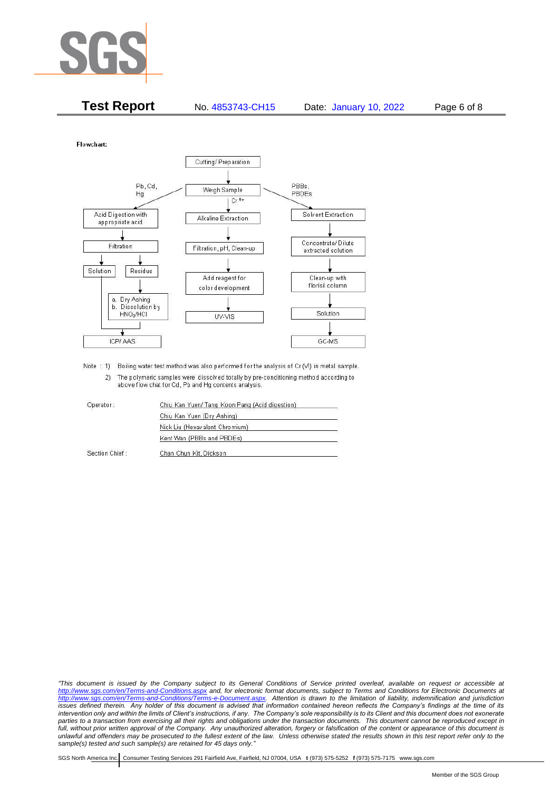

| <b>Test Report</b> | No. 4853743-CH15 | Page 6 of 8<br>Date: January 10, 2022 |
|--------------------|------------------|---------------------------------------|
|--------------------|------------------|---------------------------------------|

Flowchart:



Note : 1) Boiling water test method was also performed for the analysis of Cr (VI) in metal sample. 2) The polymeric samples were dissolved totally by pre-conditioning method according to above flow chat for Cd, Pb and Hg contents analysis

| Operator:      | Chiu Kan Yuen/ Tang Koon Pang (Acid digestion) |
|----------------|------------------------------------------------|
|                | Chiu Kan Yuen (Dry Ashing)                     |
|                | Nick Liu (Hexavalent Chromium)                 |
|                | Kent Wan (PBBs and PBDEs)                      |
| Section Chief: | Chan Chun Kit, Dickson                         |

*"This document is issued by the Company subject to its General Conditions of Service printed overleaf, available on request or accessible at <http://www.sgs.com/en/Terms-and-Conditions.aspx> and, for electronic format documents, subject to Terms and Conditions for Electronic Documents at [http://www.sgs.com/en/Terms-and-Conditions/Terms-e-Document.aspx.](http://www.sgs.com/en/Terms-and-Conditions/Terms-e-Document.aspx) Attention is drawn to the limitation of liability, indemnification and jurisdiction issues defined therein. Any holder of this document is advised that information contained hereon reflects the Company's findings at the time of its intervention only and within the limits of Client's instructions, if any. The Company's sole responsibility is to its Client and this document does not exonerate parties to a transaction from exercising all their rights and obligations under the transaction documents. This document cannot be reproduced except in full, without prior written approval of the Company. Any unauthorized alteration, forgery or falsification of the content or appearance of this document is unlawful and offenders may be prosecuted to the fullest extent of the law. Unless otherwise stated the results shown in this test report refer only to the sample(s) tested and such sample(s) are retained for 45 days only."*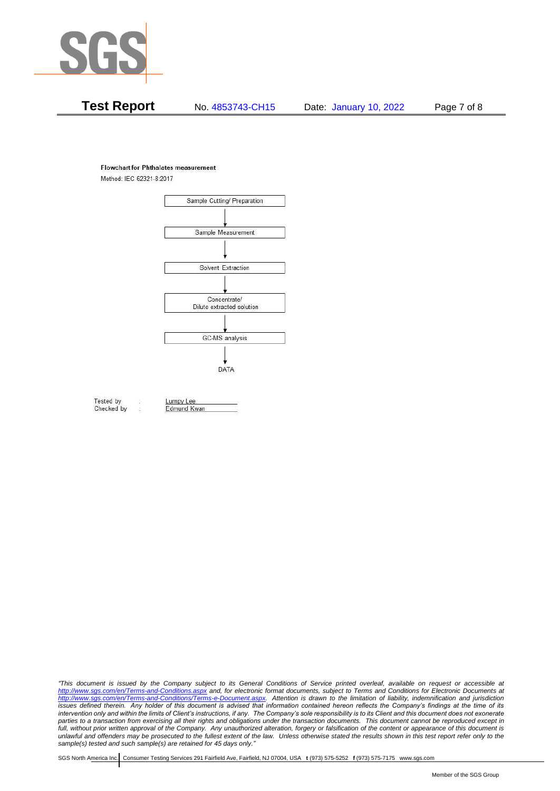

# **Test Report** No. 4853743-CH15 Date: January 10, 2022 Page 7 of 8

#### **Flowchart for Phthalates measurement**

Method: IEC 62321-8:2017



Tested by Checked by Lumpy Lee

Edmund Kwan

*"This document is issued by the Company subject to its General Conditions of Service printed overleaf, available on request or accessible at <http://www.sgs.com/en/Terms-and-Conditions.aspx> and, for electronic format documents, subject to Terms and Conditions for Electronic Documents at [http://www.sgs.com/en/Terms-and-Conditions/Terms-e-Document.aspx.](http://www.sgs.com/en/Terms-and-Conditions/Terms-e-Document.aspx) Attention is drawn to the limitation of liability, indemnification and jurisdiction issues defined therein. Any holder of this document is advised that information contained hereon reflects the Company's findings at the time of its intervention only and within the limits of Client's instructions, if any. The Company's sole responsibility is to its Client and this document does not exonerate parties to a transaction from exercising all their rights and obligations under the transaction documents. This document cannot be reproduced except in full, without prior written approval of the Company. Any unauthorized alteration, forgery or falsification of the content or appearance of this document is unlawful and offenders may be prosecuted to the fullest extent of the law. Unless otherwise stated the results shown in this test report refer only to the sample(s) tested and such sample(s) are retained for 45 days only."*